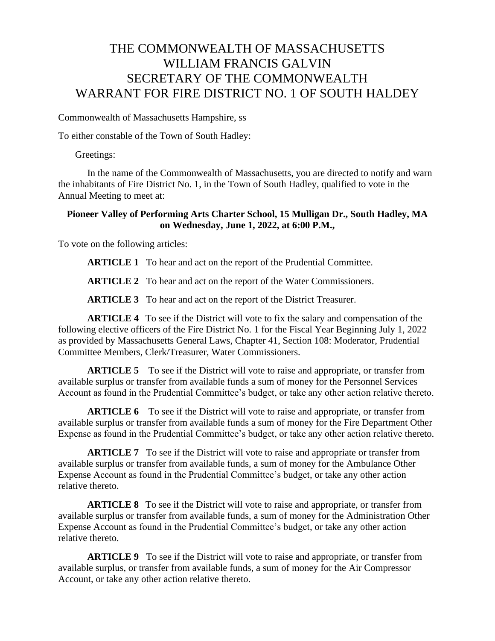## THE COMMONWEALTH OF MASSACHUSETTS WILLIAM FRANCIS GALVIN SECRETARY OF THE COMMONWEALTH WARRANT FOR FIRE DISTRICT NO. 1 OF SOUTH HALDEY

Commonwealth of Massachusetts Hampshire, ss

To either constable of the Town of South Hadley:

Greetings:

In the name of the Commonwealth of Massachusetts, you are directed to notify and warn the inhabitants of Fire District No. 1, in the Town of South Hadley, qualified to vote in the Annual Meeting to meet at:

## **Pioneer Valley of Performing Arts Charter School, 15 Mulligan Dr., South Hadley, MA on Wednesday, June 1, 2022, at 6:00 P.M.,**

To vote on the following articles:

**ARTICLE 1** To hear and act on the report of the Prudential Committee.

**ARTICLE 2** To hear and act on the report of the Water Commissioners.

**ARTICLE 3** To hear and act on the report of the District Treasurer.

**ARTICLE 4** To see if the District will vote to fix the salary and compensation of the following elective officers of the Fire District No. 1 for the Fiscal Year Beginning July 1, 2022 as provided by Massachusetts General Laws, Chapter 41, Section 108: Moderator, Prudential Committee Members, Clerk/Treasurer, Water Commissioners.

**ARTICLE 5** To see if the District will vote to raise and appropriate, or transfer from available surplus or transfer from available funds a sum of money for the Personnel Services Account as found in the Prudential Committee's budget, or take any other action relative thereto.

**ARTICLE 6** To see if the District will vote to raise and appropriate, or transfer from available surplus or transfer from available funds a sum of money for the Fire Department Other Expense as found in the Prudential Committee's budget, or take any other action relative thereto.

**ARTICLE 7** To see if the District will vote to raise and appropriate or transfer from available surplus or transfer from available funds, a sum of money for the Ambulance Other Expense Account as found in the Prudential Committee's budget, or take any other action relative thereto.

**ARTICLE 8** To see if the District will vote to raise and appropriate, or transfer from available surplus or transfer from available funds, a sum of money for the Administration Other Expense Account as found in the Prudential Committee's budget, or take any other action relative thereto.

**ARTICLE 9** To see if the District will vote to raise and appropriate, or transfer from available surplus, or transfer from available funds, a sum of money for the Air Compressor Account, or take any other action relative thereto.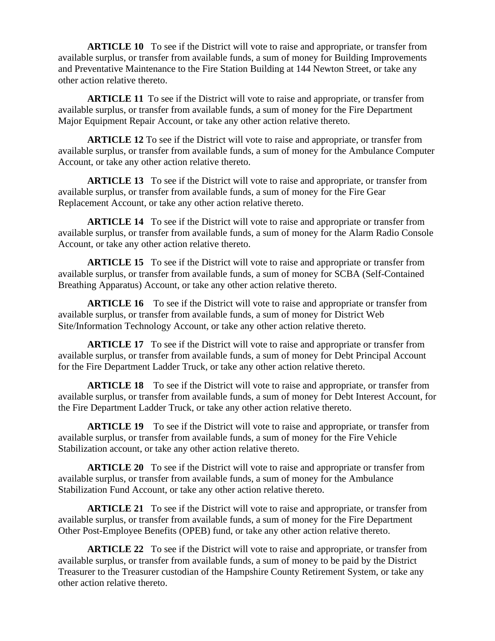**ARTICLE 10** To see if the District will vote to raise and appropriate, or transfer from available surplus, or transfer from available funds, a sum of money for Building Improvements and Preventative Maintenance to the Fire Station Building at 144 Newton Street, or take any other action relative thereto.

**ARTICLE 11** To see if the District will vote to raise and appropriate, or transfer from available surplus, or transfer from available funds, a sum of money for the Fire Department Major Equipment Repair Account, or take any other action relative thereto.

**ARTICLE 12** To see if the District will vote to raise and appropriate, or transfer from available surplus, or transfer from available funds, a sum of money for the Ambulance Computer Account, or take any other action relative thereto.

**ARTICLE 13** To see if the District will vote to raise and appropriate, or transfer from available surplus, or transfer from available funds, a sum of money for the Fire Gear Replacement Account, or take any other action relative thereto.

**ARTICLE 14** To see if the District will vote to raise and appropriate or transfer from available surplus, or transfer from available funds, a sum of money for the Alarm Radio Console Account, or take any other action relative thereto.

**ARTICLE 15** To see if the District will vote to raise and appropriate or transfer from available surplus, or transfer from available funds, a sum of money for SCBA (Self-Contained Breathing Apparatus) Account, or take any other action relative thereto.

**ARTICLE 16** To see if the District will vote to raise and appropriate or transfer from available surplus, or transfer from available funds, a sum of money for District Web Site/Information Technology Account, or take any other action relative thereto.

**ARTICLE 17** To see if the District will vote to raise and appropriate or transfer from available surplus, or transfer from available funds, a sum of money for Debt Principal Account for the Fire Department Ladder Truck, or take any other action relative thereto.

**ARTICLE 18** To see if the District will vote to raise and appropriate, or transfer from available surplus, or transfer from available funds, a sum of money for Debt Interest Account, for the Fire Department Ladder Truck, or take any other action relative thereto.

**ARTICLE 19** To see if the District will vote to raise and appropriate, or transfer from available surplus, or transfer from available funds, a sum of money for the Fire Vehicle Stabilization account, or take any other action relative thereto.

**ARTICLE 20** To see if the District will vote to raise and appropriate or transfer from available surplus, or transfer from available funds, a sum of money for the Ambulance Stabilization Fund Account, or take any other action relative thereto.

**ARTICLE 21** To see if the District will vote to raise and appropriate, or transfer from available surplus, or transfer from available funds, a sum of money for the Fire Department Other Post-Employee Benefits (OPEB) fund, or take any other action relative thereto.

**ARTICLE 22** To see if the District will vote to raise and appropriate, or transfer from available surplus, or transfer from available funds, a sum of money to be paid by the District Treasurer to the Treasurer custodian of the Hampshire County Retirement System, or take any other action relative thereto.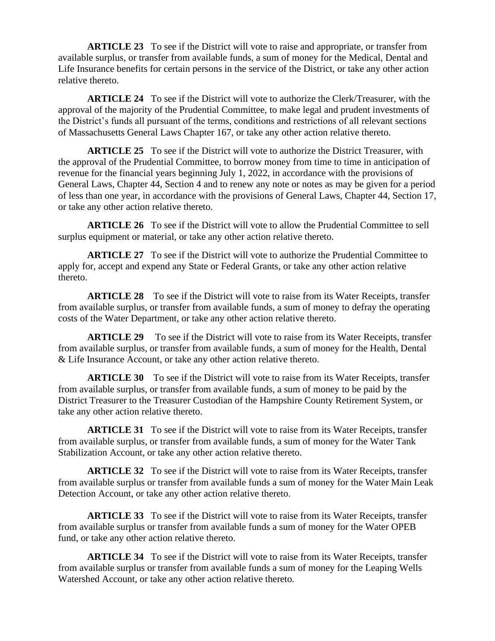**ARTICLE 23** To see if the District will vote to raise and appropriate, or transfer from available surplus, or transfer from available funds, a sum of money for the Medical, Dental and Life Insurance benefits for certain persons in the service of the District, or take any other action relative thereto.

**ARTICLE 24** To see if the District will vote to authorize the Clerk/Treasurer, with the approval of the majority of the Prudential Committee, to make legal and prudent investments of the District's funds all pursuant of the terms, conditions and restrictions of all relevant sections of Massachusetts General Laws Chapter 167, or take any other action relative thereto.

**ARTICLE 25** To see if the District will vote to authorize the District Treasurer, with the approval of the Prudential Committee, to borrow money from time to time in anticipation of revenue for the financial years beginning July 1, 2022, in accordance with the provisions of General Laws, Chapter 44, Section 4 and to renew any note or notes as may be given for a period of less than one year, in accordance with the provisions of General Laws, Chapter 44, Section 17, or take any other action relative thereto.

**ARTICLE 26** To see if the District will vote to allow the Prudential Committee to sell surplus equipment or material, or take any other action relative thereto.

**ARTICLE 27** To see if the District will vote to authorize the Prudential Committee to apply for, accept and expend any State or Federal Grants, or take any other action relative thereto.

**ARTICLE 28** To see if the District will vote to raise from its Water Receipts, transfer from available surplus, or transfer from available funds, a sum of money to defray the operating costs of the Water Department, or take any other action relative thereto.

**ARTICLE 29** To see if the District will vote to raise from its Water Receipts, transfer from available surplus, or transfer from available funds, a sum of money for the Health, Dental & Life Insurance Account, or take any other action relative thereto.

**ARTICLE 30** To see if the District will vote to raise from its Water Receipts, transfer from available surplus, or transfer from available funds, a sum of money to be paid by the District Treasurer to the Treasurer Custodian of the Hampshire County Retirement System, or take any other action relative thereto.

**ARTICLE 31** To see if the District will vote to raise from its Water Receipts, transfer from available surplus, or transfer from available funds, a sum of money for the Water Tank Stabilization Account, or take any other action relative thereto.

**ARTICLE 32** To see if the District will vote to raise from its Water Receipts, transfer from available surplus or transfer from available funds a sum of money for the Water Main Leak Detection Account, or take any other action relative thereto.

**ARTICLE 33** To see if the District will vote to raise from its Water Receipts, transfer from available surplus or transfer from available funds a sum of money for the Water OPEB fund, or take any other action relative thereto.

**ARTICLE 34** To see if the District will vote to raise from its Water Receipts, transfer from available surplus or transfer from available funds a sum of money for the Leaping Wells Watershed Account, or take any other action relative thereto.